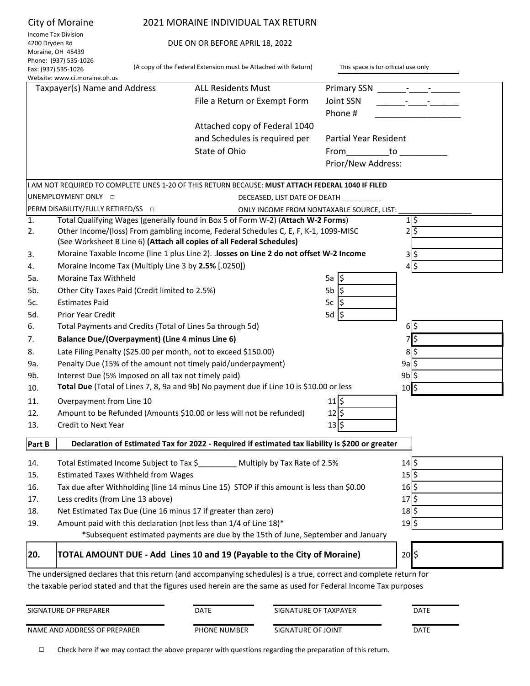|                | City of Moraine                                      | 2021 MORAINE INDIVIDUAL TAX RETURN                                                                                                                     |                                     |                              |
|----------------|------------------------------------------------------|--------------------------------------------------------------------------------------------------------------------------------------------------------|-------------------------------------|------------------------------|
|                | <b>Income Tax Division</b>                           |                                                                                                                                                        |                                     |                              |
| 4200 Dryden Rd | Moraine, OH 45439                                    | DUE ON OR BEFORE APRIL 18, 2022                                                                                                                        |                                     |                              |
|                | Phone: (937) 535-1026                                |                                                                                                                                                        |                                     |                              |
|                | Fax: (937) 535-1026<br>Website: www.ci.moraine.oh.us | (A copy of the Federal Extension must be Attached with Return)                                                                                         | This space is for official use only |                              |
|                | Taxpayer(s) Name and Address                         | <b>ALL Residents Must</b>                                                                                                                              | Primary SSN                         |                              |
|                |                                                      | File a Return or Exempt Form                                                                                                                           | Joint SSN                           |                              |
|                |                                                      |                                                                                                                                                        | Phone #                             |                              |
|                |                                                      | Attached copy of Federal 1040                                                                                                                          |                                     |                              |
|                |                                                      | and Schedules is required per                                                                                                                          | Partial Year Resident               |                              |
|                |                                                      | State of Ohio                                                                                                                                          |                                     |                              |
|                |                                                      |                                                                                                                                                        | From to                             |                              |
|                |                                                      |                                                                                                                                                        | Prior/New Address:                  |                              |
|                |                                                      | I AM NOT REQUIRED TO COMPLETE LINES 1-20 OF THIS RETURN BECAUSE: MUST ATTACH FEDERAL 1040 IF FILED                                                     |                                     |                              |
|                | UNEMPLOYMENT ONLY O                                  | DECEASED, LIST DATE OF DEATH __                                                                                                                        |                                     |                              |
|                | PERM DISABILITY/FULLY RETIRED/SS O                   | ONLY INCOME FROM NONTAXABLE SOURCE, LIST:                                                                                                              |                                     |                              |
| 1.             |                                                      | Total Qualifying Wages (generally found in Box 5 of Form W-2) (Attach W-2 Forms)                                                                       |                                     | 1 \$                         |
| 2.             |                                                      | Other Income/(loss) From gambling income, Federal Schedules C, E, F, K-1, 1099-MISC                                                                    |                                     | 2 5                          |
|                |                                                      | (See Worksheet B Line 6) (Attach all copies of all Federal Schedules)                                                                                  |                                     |                              |
| 3.             |                                                      | Moraine Taxable Income (line 1 plus Line 2). . losses on Line 2 do not offset W-2 Income                                                               |                                     | \$ 3                         |
| 4.             | Moraine Income Tax (Multiply Line 3 by 2.5% [.0250]) |                                                                                                                                                        |                                     | 4 \$                         |
| 5а.            | <b>Moraine Tax Withheld</b>                          |                                                                                                                                                        | 5a $ $ \$                           |                              |
| 5b.            | Other City Taxes Paid (Credit limited to 2.5%)       |                                                                                                                                                        | 5b<br>I\$                           |                              |
| 5c.            | <b>Estimates Paid</b>                                |                                                                                                                                                        | 5c<br>1S                            |                              |
| 5d.            | <b>Prior Year Credit</b>                             |                                                                                                                                                        | 5d<br>-l\$                          |                              |
| 6.             |                                                      | Total Payments and Credits (Total of Lines 5a through 5d)                                                                                              |                                     | \$ 6                         |
| 7.             | Balance Due/(Overpayment) (Line 4 minus Line 6)      |                                                                                                                                                        |                                     | 7\$                          |
| 8.             |                                                      | Late Filing Penalty (\$25.00 per month, not to exceed \$150.00)                                                                                        |                                     | 85                           |
| 9а.            |                                                      | Penalty Due (15% of the amount not timely paid/underpayment)                                                                                           |                                     | 9a                           |
| 9b.            | Interest Due (5% Imposed on all tax not timely paid) |                                                                                                                                                        |                                     | 9b                           |
| 10.            |                                                      | Total Due (Total of Lines 7, 8, 9a and 9b) No payment due if Line 10 is \$10.00 or less                                                                |                                     | $10$ \$                      |
| 11.            | Overpayment from Line 10                             |                                                                                                                                                        | $11\frac{1}{5}$                     |                              |
| 12.            |                                                      | Amount to be Refunded (Amounts \$10.00 or less will not be refunded)                                                                                   | $12\overline{\phantom{.}}$          |                              |
| 13.            | Credit to Next Year                                  |                                                                                                                                                        | $13\overline{\phantom{0}}$ \$       |                              |
| Part B         |                                                      | Declaration of Estimated Tax for 2022 - Required if estimated tax liability is \$200 or greater                                                        |                                     |                              |
|                |                                                      |                                                                                                                                                        |                                     |                              |
| 14.            |                                                      | Total Estimated Income Subject to Tax \$________ Multiply by Tax Rate of 2.5%                                                                          |                                     | $14 $ \$                     |
| 15.            | <b>Estimated Taxes Withheld from Wages</b>           |                                                                                                                                                        |                                     | $15 $ \$                     |
| 16.            |                                                      | Tax due after Withholding (line 14 minus Line 15) STOP if this amount is less than \$0.00                                                              |                                     | $16\overline{\smash{\big)}}$ |
| 17.            | Less credits (from Line 13 above)                    |                                                                                                                                                        |                                     | $17$ $\frac{1}{2}$           |
| 18.            |                                                      | Net Estimated Tax Due (Line 16 minus 17 if greater than zero)                                                                                          |                                     | $18$ \$                      |
| 19.            |                                                      | Amount paid with this declaration (not less than 1/4 of Line 18)*<br>*Subsequent estimated payments are due by the 15th of June, September and January |                                     | $19$ \$                      |
|                |                                                      |                                                                                                                                                        |                                     |                              |
| 20.            |                                                      | TOTAL AMOUNT DUE - Add Lines 10 and 19 (Payable to the City of Moraine)                                                                                |                                     | $20$ \$                      |

The undersigned declares that this return (and accompanying schedules) is a true, correct and complete return for the taxable period stated and that the figures used herein are the same as used for Federal Income Tax purposes

| SIGNATURE OF PREPARER        | DATE                | SIGNATURE OF TAXPAYER | DATE |
|------------------------------|---------------------|-----------------------|------|
| NAME AND ADDRESS OF PREPARER | <b>PHONE NUMBER</b> | SIGNATURE OF JOINT    | DATE |

□ Check here if we may contact the above preparer with questions regarding the preparation of this return.